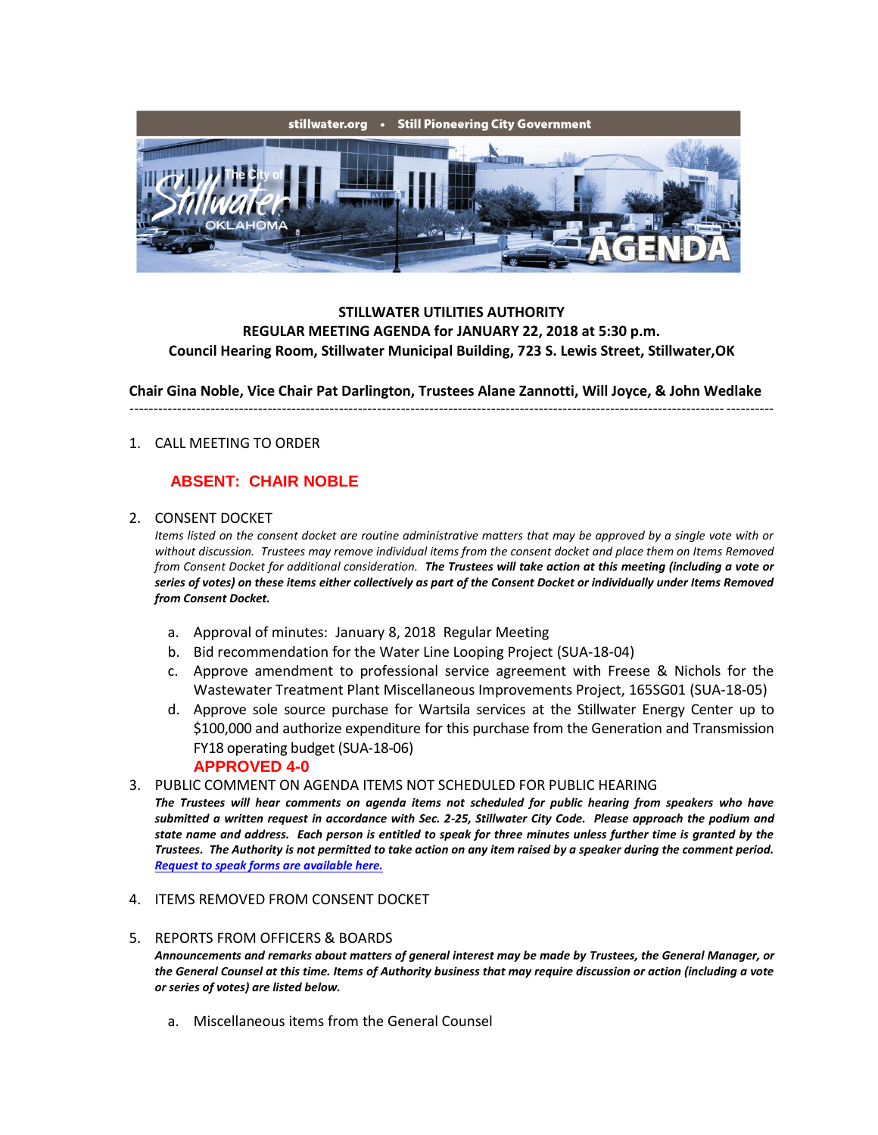

### **STILLWATER UTILITIES AUTHORITY REGULAR MEETING AGENDA for JANUARY 22, 2018 at 5:30 p.m. Council Hearing Room, Stillwater Municipal Building, 723 S. Lewis Street, Stillwater,OK**

**Chair Gina Noble, Vice Chair Pat Darlington, Trustees Alane Zannotti, Will Joyce, & John Wedlake**

---------------------------------------------------------------------------------------------------------------------------------------

### 1. CALL MEETING TO ORDER

# **ABSENT: CHAIR NOBLE**

#### 2. CONSENT DOCKET

*Items listed on the consent docket are routine administrative matters that may be approved by a single vote with or without discussion. Trustees may remove individual items from the consent docket and place them on Items Removed from Consent Docket for additional consideration. The Trustees will take action at this meeting (including a vote or series of votes) on these items either collectively as part of the Consent Docket or individually under Items Removed from Consent Docket.*

- a. Approval of minutes: January 8, 2018 Regular Meeting
- b. Bid recommendation for the Water Line Looping Project (SUA-18-04)
- c. Approve amendment to professional service agreement with Freese & Nichols for the Wastewater Treatment Plant Miscellaneous Improvements Project, 165SG01 (SUA-18-05)
- d. Approve sole source purchase for Wartsila services at the Stillwater Energy Center up to \$100,000 and authorize expenditure for this purchase from the Generation and Transmission FY18 operating budget (SUA-18-06) **APPROVED 4-0**
- 3. PUBLIC COMMENT ON AGENDA ITEMS NOT SCHEDULED FOR PUBLIC HEARING

*The Trustees will hear comments on agenda items not scheduled for public hearing from speakers who have submitted a written request in accordance with Sec. 2-25, Stillwater City Code. Please approach the podium and state name and address. Each person is entitled to speak for three minutes unless further time is granted by the Trustees. The Authority is not permitted to take action on any item raised by a speaker during the comment period. [Request to speak forms are available here.](http://stillwater.org/document/request_to_speak_at_city_council.php)*

- 4. ITEMS REMOVED FROM CONSENT DOCKET
- 5. REPORTS FROM OFFICERS & BOARDS *Announcements and remarks about matters of general interest may be made by Trustees, the General Manager, or the General Counsel at this time. Items of Authority business that may require discussion or action (including a vote or series of votes) are listed below.*
	- a. Miscellaneous items from the General Counsel